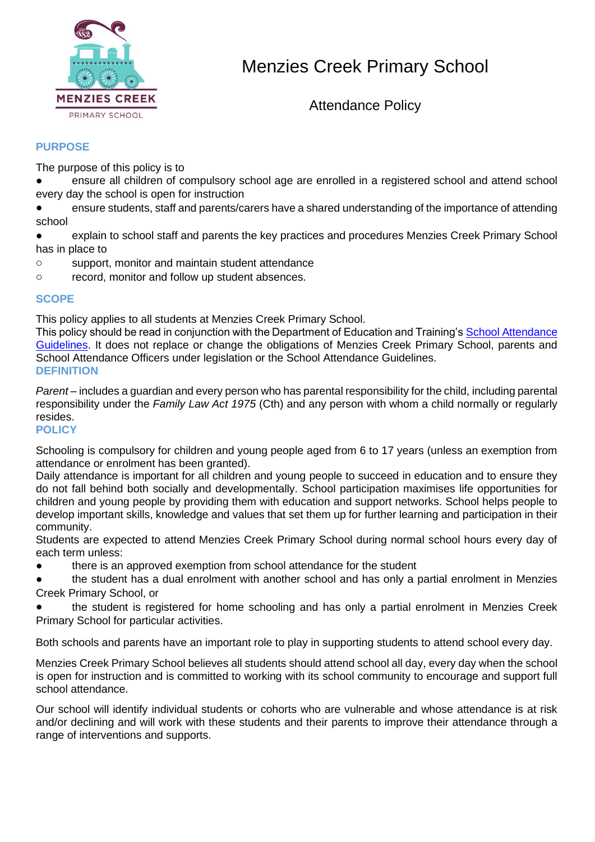

# Menzies Creek Primary School

Attendance Policy

# **PURPOSE**

The purpose of this policy is to

ensure all children of compulsory school age are enrolled in a registered school and attend school every day the school is open for instruction

ensure students, staff and parents/carers have a shared understanding of the importance of attending school

explain to school staff and parents the key practices and procedures Menzies Creek Primary School has in place to

- o support, monitor and maintain student attendance
- o record, monitor and follow up student absences.

## **SCOPE**

This policy applies to all students at Menzies Creek Primary School.

This policy should be read in conjunction with the Department of Education and Training's School Attendance [Guidelines.](https://www.education.vic.gov.au/school/teachers/studentmanagement/attendance/Pages/default.aspx) It does not replace or change the obligations of Menzies Creek Primary School, parents and School Attendance Officers under legislation or the School Attendance Guidelines. **DEFINITION**

*Parent* – includes a guardian and every person who has parental responsibility for the child, including parental responsibility under the *Family Law Act 1975* (Cth) and any person with whom a child normally or regularly resides.

## **POLICY**

Schooling is compulsory for children and young people aged from 6 to 17 years (unless an exemption from attendance or enrolment has been granted).

Daily attendance is important for all children and young people to succeed in education and to ensure they do not fall behind both socially and developmentally. School participation maximises life opportunities for children and young people by providing them with education and support networks. School helps people to develop important skills, knowledge and values that set them up for further learning and participation in their community.

Students are expected to attend Menzies Creek Primary School during normal school hours every day of each term unless:

● there is an approved exemption from school attendance for the student

the student has a dual enrolment with another school and has only a partial enrolment in Menzies Creek Primary School, or

the student is registered for home schooling and has only a partial enrolment in Menzies Creek Primary School for particular activities.

Both schools and parents have an important role to play in supporting students to attend school every day.

Menzies Creek Primary School believes all students should attend school all day, every day when the school is open for instruction and is committed to working with its school community to encourage and support full school attendance.

Our school will identify individual students or cohorts who are vulnerable and whose attendance is at risk and/or declining and will work with these students and their parents to improve their attendance through a range of interventions and supports.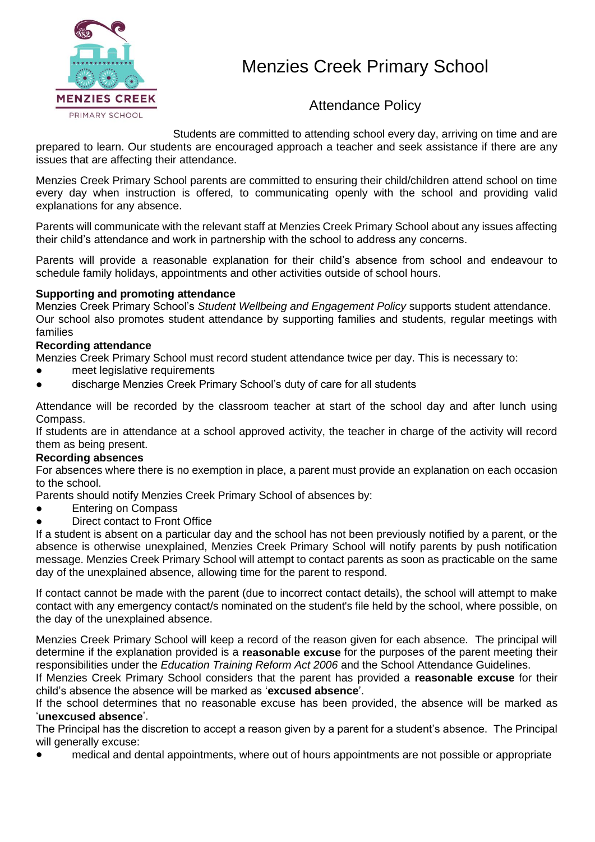

# Menzies Creek Primary School

# Attendance Policy

Students are committed to attending school every day, arriving on time and are prepared to learn. Our students are encouraged approach a teacher and seek assistance if there are any issues that are affecting their attendance.

Menzies Creek Primary School parents are committed to ensuring their child/children attend school on time every day when instruction is offered, to communicating openly with the school and providing valid explanations for any absence.

Parents will communicate with the relevant staff at Menzies Creek Primary School about any issues affecting their child's attendance and work in partnership with the school to address any concerns.

Parents will provide a reasonable explanation for their child's absence from school and endeavour to schedule family holidays, appointments and other activities outside of school hours.

#### **Supporting and promoting attendance**

Menzies Creek Primary School's *Student Wellbeing and Engagement Policy* supports student attendance. Our school also promotes student attendance by supporting families and students, regular meetings with families

#### **Recording attendance**

Menzies Creek Primary School must record student attendance twice per day. This is necessary to:

- meet legislative requirements
- discharge Menzies Creek Primary School's duty of care for all students

Attendance will be recorded by the classroom teacher at start of the school day and after lunch using Compass.

If students are in attendance at a school approved activity, the teacher in charge of the activity will record them as being present.

#### **Recording absences**

For absences where there is no exemption in place, a parent must provide an explanation on each occasion to the school.

Parents should notify Menzies Creek Primary School of absences by:

- **Entering on Compass**
- Direct contact to Front Office

If a student is absent on a particular day and the school has not been previously notified by a parent, or the absence is otherwise unexplained, Menzies Creek Primary School will notify parents by push notification message. Menzies Creek Primary School will attempt to contact parents as soon as practicable on the same day of the unexplained absence, allowing time for the parent to respond.

If contact cannot be made with the parent (due to incorrect contact details), the school will attempt to make contact with any emergency contact/s nominated on the student's file held by the school, where possible, on the day of the unexplained absence.

Menzies Creek Primary School will keep a record of the reason given for each absence. The principal will determine if the explanation provided is a **reasonable excuse** for the purposes of the parent meeting their responsibilities under the *Education Training Reform Act 2006* and the School Attendance Guidelines.

If Menzies Creek Primary School considers that the parent has provided a **reasonable excuse** for their child's absence the absence will be marked as '**excused absence**'.

If the school determines that no reasonable excuse has been provided, the absence will be marked as '**unexcused absence**'.

The Principal has the discretion to accept a reason given by a parent for a student's absence. The Principal will generally excuse:

medical and dental appointments, where out of hours appointments are not possible or appropriate